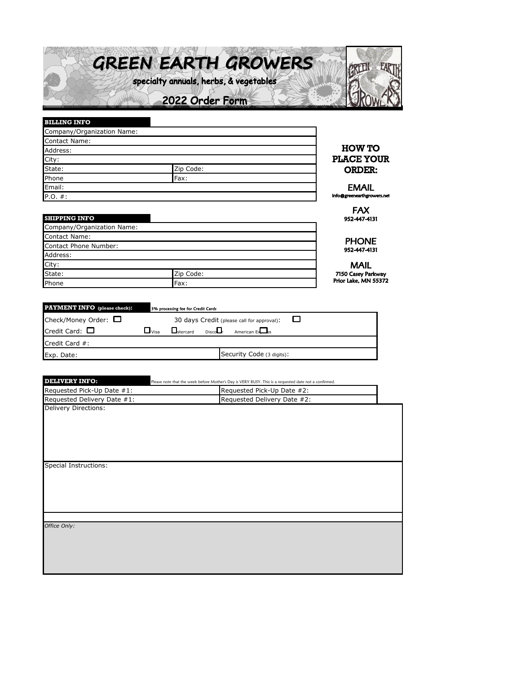

| <b>BILLING INFO</b>  |                            |                            |  |  |  |  |  |  |
|----------------------|----------------------------|----------------------------|--|--|--|--|--|--|
|                      | Company/Organization Name: |                            |  |  |  |  |  |  |
| <b>Contact Name:</b> |                            |                            |  |  |  |  |  |  |
| Address:             | <b>HOW TO</b>              |                            |  |  |  |  |  |  |
| City:                |                            | <b>PLACE YOUR</b>          |  |  |  |  |  |  |
| State:               | Zip Code:                  | <b>ORDER:</b>              |  |  |  |  |  |  |
| Phone                | Fax:                       |                            |  |  |  |  |  |  |
| Email:               |                            |                            |  |  |  |  |  |  |
| P.O. #:              |                            | info@greenearthgrowers.net |  |  |  |  |  |  |
|                      |                            |                            |  |  |  |  |  |  |

**SHIPPING INFO**

Contact Name: Contact Phone Number:

Credit Card #:

Address:

Company/Organization Name:

| FAX          |
|--------------|
| 952-447-4131 |

**PHONE** 952-447-4131

rkway<br>55372

| City:                               | <b>MAIL</b>                                                              |                |
|-------------------------------------|--------------------------------------------------------------------------|----------------|
| State:                              | Zip Code:                                                                | 7150 Casey Par |
| Phone                               | Fax:                                                                     | Prior Lake, MN |
|                                     |                                                                          |                |
|                                     |                                                                          |                |
| <b>PAYMENT INFO</b> (please check): | 3% processing fee for Credit Cards                                       |                |
| Check/Money Order: $\Box$           | 30 days Credit (please call for approval):                               |                |
| Credit Card: $\Box$                 | $\sqcup$ visa<br><b>DiscoLJ</b><br>American Excess<br><b>L</b> ustercard |                |

Exp. Date: Security Code (3 digits):

| <b>DELIVERY INFO:</b>        | Please note that the week before Mother's Day is VERY BUSY. This is a requested date not a confirmed. |  |  |  |  |  |  |  |
|------------------------------|-------------------------------------------------------------------------------------------------------|--|--|--|--|--|--|--|
| Requested Pick-Up Date #1:   | Requested Pick-Up Date #2:                                                                            |  |  |  |  |  |  |  |
| Requested Delivery Date #1:  | Requested Delivery Date #2:                                                                           |  |  |  |  |  |  |  |
| <b>Delivery Directions:</b>  |                                                                                                       |  |  |  |  |  |  |  |
|                              |                                                                                                       |  |  |  |  |  |  |  |
|                              |                                                                                                       |  |  |  |  |  |  |  |
|                              |                                                                                                       |  |  |  |  |  |  |  |
|                              |                                                                                                       |  |  |  |  |  |  |  |
|                              |                                                                                                       |  |  |  |  |  |  |  |
| <b>Special Instructions:</b> |                                                                                                       |  |  |  |  |  |  |  |
|                              |                                                                                                       |  |  |  |  |  |  |  |
|                              |                                                                                                       |  |  |  |  |  |  |  |
|                              |                                                                                                       |  |  |  |  |  |  |  |
|                              |                                                                                                       |  |  |  |  |  |  |  |
|                              |                                                                                                       |  |  |  |  |  |  |  |
|                              |                                                                                                       |  |  |  |  |  |  |  |
| Office Only:                 |                                                                                                       |  |  |  |  |  |  |  |
|                              |                                                                                                       |  |  |  |  |  |  |  |
|                              |                                                                                                       |  |  |  |  |  |  |  |
|                              |                                                                                                       |  |  |  |  |  |  |  |
|                              |                                                                                                       |  |  |  |  |  |  |  |
|                              |                                                                                                       |  |  |  |  |  |  |  |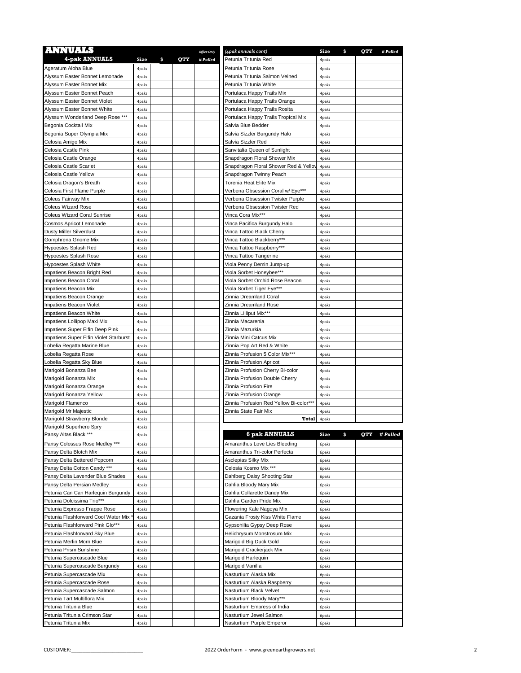| <b>ANNUALS</b>                                             |                |           | <b>Office Only</b> | (4pak annuals cont)                                              | Size           | \$<br>QTY | # Pulled |
|------------------------------------------------------------|----------------|-----------|--------------------|------------------------------------------------------------------|----------------|-----------|----------|
| 4-pak ANNUALS                                              | Size           | \$<br>QTY | # Pulled           | Petunia Tritunia Red                                             | 4paks          |           |          |
| Ageratum Aloha Blue                                        | 4paks          |           |                    | Petunia Tritunia Rose                                            | 4paks          |           |          |
| Alyssum Easter Bonnet Lemonade                             | 4paks          |           |                    | Petunia Tritunia Salmon Veined                                   | 4paks          |           |          |
| Alyssum Easter Bonnet Mix                                  | 4paks          |           |                    | Petunia Tritunia White                                           | 4paks          |           |          |
| Alvssum Easter Bonnet Peach                                | 4paks          |           |                    | Portulaca Happy Trails Mix                                       | 4paks          |           |          |
| Alyssum Easter Bonnet Violet                               | 4paks          |           |                    | Portulaca Happy Trails Orange                                    | 4paks          |           |          |
| Alyssum Easter Bonnet White                                | 4paks          |           |                    | Portulaca Happy Trails Rosita                                    | 4paks          |           |          |
| Alyssum Wonderland Deep Rose ***<br>Begonia Cocktail Mix   | 4paks          |           |                    | Portulaca Happy Trails Tropical Mix<br>Salvia Blue Bedder        | 4paks          |           |          |
| Begonia Super Olympia Mix                                  | 4paks<br>4paks |           |                    | Salvia Sizzler Burgundy Halo                                     | 4paks<br>4paks |           |          |
| Celosia Amigo Mix                                          | 4paks          |           |                    | Salvia Sizzler Red                                               | 4paks          |           |          |
| Celosia Castle Pink                                        | 4paks          |           |                    | Sanvitalia Queen of Sunlight                                     | 4paks          |           |          |
| Celosia Castle Orange                                      | 4paks          |           |                    | Snapdragon Floral Shower Mix                                     | 4paks          |           |          |
| Celosia Castle Scarlet                                     | 4paks          |           |                    | Snapdragon Floral Shower Red & Yellov                            | 4paks          |           |          |
| Celosia Castle Yellow                                      | 4paks          |           |                    | Snapdragon Twinny Peach                                          | 4paks          |           |          |
| Celosia Dragon's Breath                                    | 4paks          |           |                    | Torenia Heat Elite Mix                                           | 4paks          |           |          |
| Celosia First Flame Purple                                 | 4paks          |           |                    | Verbena Obsession Coral w/ Eye***                                | 4paks          |           |          |
| Coleus Fairway Mix                                         | 4paks          |           |                    | Verbena Obsession Twister Purple                                 | 4paks          |           |          |
| <b>Coleus Wizard Rose</b>                                  | 4paks          |           |                    | Verbena Obsession Twister Red                                    | 4paks          |           |          |
| <b>Coleus Wizard Coral Sunrise</b>                         | 4paks          |           |                    | Vinca Cora Mix***                                                | 4paks          |           |          |
| Cosmos Apricot Lemonade                                    | 4paks          |           |                    | Vinca Pacifica Burgundy Halo                                     | 4paks          |           |          |
| <b>Dusty Miller Silverdust</b>                             | 4paks          |           |                    | Vinca Tattoo Black Cherry                                        | 4paks          |           |          |
| Gomphrena Gnome Mix                                        | 4paks          |           |                    | Vinca Tattoo Blackberry***                                       | 4paks          |           |          |
| Hypoestes Splash Red                                       | 4paks          |           |                    | Vinca Tattoo Raspberry***                                        | 4paks          |           |          |
| <b>Hypoestes Splash Rose</b>                               | 4paks          |           |                    | Vinca Tattoo Tangerine                                           | 4paks          |           |          |
| Hypoestes Splash White<br>Impatiens Beacon Bright Red      | 4paks          |           |                    | Viola Penny Demin Jump-up<br>Viola Sorbet Honeybee***            | 4paks          |           |          |
| Impatiens Beacon Coral                                     | 4paks<br>4paks |           |                    | Viola Sorbet Orchid Rose Beacon                                  | 4paks<br>4paks |           |          |
| Impatiens Beacon Mix                                       | 4paks          |           |                    | Viola Sorbet Tiger Eye***                                        | 4paks          |           |          |
| Impatiens Beacon Orange                                    | 4paks          |           |                    | Zinnia Dreamland Coral                                           | 4paks          |           |          |
| Impatiens Beacon Violet                                    | 4paks          |           |                    | Zinnia Dreamland Rose                                            | 4paks          |           |          |
| Impatiens Beacon White                                     | 4paks          |           |                    | Zinnia Lilliput Mix***                                           | 4paks          |           |          |
| Impatiens Lollipop Maxi Mix                                | 4paks          |           |                    | Zinnia Macarenia                                                 | 4paks          |           |          |
| Impatiens Super Elfin Deep Pink                            | 4paks          |           |                    | Zinnia Mazurkia                                                  | 4paks          |           |          |
| Impatiens Super Elfin Violet Starburst                     | 4paks          |           |                    | Zinnia Mini Catcus Mix                                           | 4paks          |           |          |
| obelia Regatta Marine Blue                                 | 4paks          |           |                    | Zinnia Pop Art Red & White                                       | 4paks          |           |          |
| Lobelia Regatta Rose                                       | 4paks          |           |                    | Zinnia Profusion 5 Color Mix***                                  | 4paks          |           |          |
| Lobelia Regatta Sky Blue                                   | 4paks          |           |                    | Zinnia Profusion Apricot                                         | 4paks          |           |          |
| Marigold Bonanza Bee                                       | 4paks          |           |                    | Zinnia Profusion Cherry Bi-color                                 | 4paks          |           |          |
| Marigold Bonanza Mix                                       | 4paks          |           |                    | Zinnia Profusion Double Cherry                                   | 4paks          |           |          |
| Marigold Bonanza Orange                                    | 4paks          |           |                    | Zinnia Profusion Fire                                            | 4paks          |           |          |
| Marigold Bonanza Yellow                                    | 4paks          |           |                    | Zinnia Profusion Orange                                          | 4paks          |           |          |
| Marigold Flamenco                                          | 4paks          |           |                    | Zinnia Profusion Red Yellow Bi-color***<br>Zinnia State Fair Mix | 4paks          |           |          |
| Marigold Mr Majestic<br>Marigold Strawberry Blonde         | 4paks<br>4paks |           |                    | Total                                                            | 4paks<br>4paks |           |          |
| Marigold Superhero Spry                                    | 4 paks         |           |                    |                                                                  |                |           |          |
| Pansy Altas Black ***                                      | 4paks          |           |                    | 6 pak ANNUALS                                                    | Size           | \$<br>QTY | # Pulled |
| Pansy Colossus Rose Medley ***                             | 4paks          |           |                    | Amaranthus Love Lies Bleeding                                    | 6paks          |           |          |
| Pansy Delta Blotch Mix                                     | 4paks          |           |                    | Amaranthus Tri-color Perfecta                                    | 6paks          |           |          |
| Pansy Delta Buttered Popcorn                               | 4paks          |           |                    | Asclepias Silky Mix                                              | 6paks          |           |          |
| Pansy Delta Cotton Candy ***                               | 4paks          |           |                    | Celosia Kosmo Mix ***                                            | 6paks          |           |          |
| Pansy Delta Lavender Blue Shades                           | 4paks          |           |                    | Dahlberg Daisy Shooting Star                                     | 6paks          |           |          |
| Pansy Delta Persian Medley                                 | 4paks          |           |                    | Dahlia Bloody Mary Mix                                           | 6paks          |           |          |
| Petunia Can Can Harlequin Burgundy                         | 4paks          |           |                    | Dahlia Collarette Dandy Mix                                      | 6paks          |           |          |
| Petunia Dolcissima Trio***                                 | 4paks          |           |                    | Dahlia Garden Pride Mix                                          | 6paks          |           |          |
| Petunia Expresso Frappe Rose                               | 4paks          |           |                    | Flowering Kale Nagoya Mix                                        | 6paks          |           |          |
| Petunia Flashforward Cool Water Mix                        | 4paks          |           |                    | Gazania Frosty Kiss White Flame                                  | 6paks          |           |          |
| Petunia Flashforward Pink Glo***                           | 4paks          |           |                    | Gypsohilia Gypsy Deep Rose                                       | 6paks          |           |          |
| Petunia Flashforward Sky Blue                              | 4paks          |           |                    | Helichrysum Monstrosum Mix                                       | 6paks          |           |          |
| Petunia Merlin Morn Blue                                   | 4paks          |           |                    | Marigold Big Duck Gold                                           | 6paks          |           |          |
| Petunia Prism Sunshine                                     | 4paks          |           |                    | Marigold Crackerjack Mix                                         | 6paks          |           |          |
| Petunia Supercascade Blue<br>Petunia Supercascade Burgundy | 4paks<br>4paks |           |                    | Marigold Harlequin<br>Marigold Vanilla                           | 6paks<br>6paks |           |          |
| Petunia Supercascade Mix                                   | 4paks          |           |                    | Nasturtium Alaska Mix                                            | 6paks          |           |          |
| Petunia Supercascade Rose                                  | 4paks          |           |                    | Nasturtium Alaska Raspberry                                      | 6paks          |           |          |
| Petunia Supercascade Salmon                                | 4paks          |           |                    | Nasturtium Black Velvet                                          | 6paks          |           |          |
| Petunia Tart Multiflora Mix                                | 4paks          |           |                    | Nasturtium Bloody Mary***                                        | 6paks          |           |          |
| Petunia Tritunia Blue                                      | 4paks          |           |                    | Nasturtium Empress of India                                      | 6paks          |           |          |
| Petunia Tritunia Crimson Star                              | 4paks          |           |                    | Nasturtium Jewel Salmon                                          | 6paks          |           |          |
| Petunia Tritunia Mix                                       | 4paks          |           |                    | Nasturtium Purple Emperor                                        | 6paks          |           |          |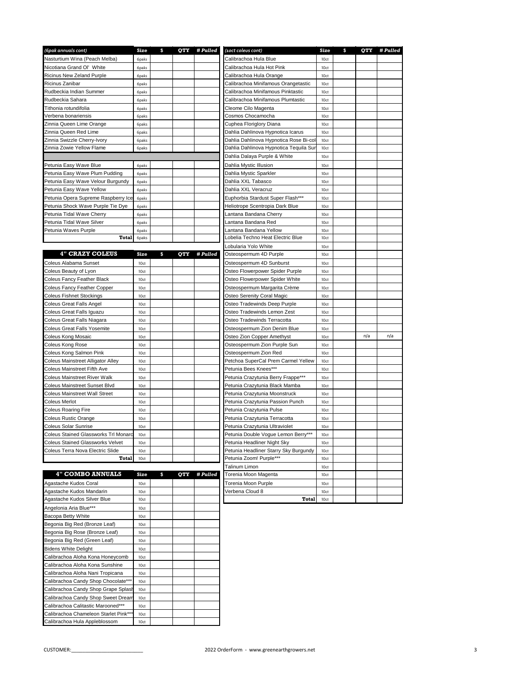| (6pak annuals cont)                     | Size             | \$ | QTY | # Pulled | (10ct coleus cont)                     | Size             | \$<br>QTY | # Pulled |
|-----------------------------------------|------------------|----|-----|----------|----------------------------------------|------------------|-----------|----------|
| Nasturtium Wina (Peach Melba)           | 6paks            |    |     |          | Calibrachoa Hula Blue                  | 10ct             |           |          |
| Nicotiana Grand Ol' White               | 6paks            |    |     |          | Calibrachoa Hula Hot Pink              | 10ct             |           |          |
| Ricinus New Zeland Purple               | 6paks            |    |     |          | Calibrachoa Hula Orange                | 10ct             |           |          |
| Ricinus Zanibar                         | 6paks            |    |     |          | Calibrachoa Minifamous Orangetastic    | 10ct             |           |          |
|                                         |                  |    |     |          |                                        |                  |           |          |
| Rudbeckia Indian Summer                 | 6paks            |    |     |          | Calibrachoa Minifamous Pinktastic      | 10ct             |           |          |
| Rudbeckia Sahara                        | 6paks            |    |     |          | Calibrachoa Minifamous Plumtastic      | 10ct             |           |          |
| Tithonia rotundifolia                   | 6paks            |    |     |          | Cleome Cilo Magenta                    | 10ct             |           |          |
| Verbena bonariensis                     | 6paks            |    |     |          | Cosmos Chocamocha                      | 10ct             |           |          |
| Zinnia Queen Lime Orange                | 6paks            |    |     |          | Cuphea Floriglory Diana                | 10ct             |           |          |
| Zinnia Queen Red Lime                   | 6paks            |    |     |          | Dahlia Dahlinova Hypnotica Icarus      | 10ct             |           |          |
| Zinnia Swizzle Cherry-Ivory             | 6paks            |    |     |          | Dahlia Dahlinova Hypnotica Rose Bi-col | 10ct             |           |          |
| Zinnia Zowie Yellow Flame               | 6paks            |    |     |          | Dahlia Dahlinova Hypnotica Tequila Sur | 10ct             |           |          |
|                                         |                  |    |     |          | Dahlia Dalaya Purple & White           | 10ct             |           |          |
| Petunia Easy Wave Blue                  | 6paks            |    |     |          | Dahlia Mystic Illusion                 | 10ct             |           |          |
| Petunia Easy Wave Plum Pudding          | 6paks            |    |     |          | Dahlia Mystic Sparkler                 | 10ct             |           |          |
| Petunia Easy Wave Velour Burgundy       | 6paks            |    |     |          | Dahlia XXL Tabasco                     | 10ct             |           |          |
| Petunia Easy Wave Yellow                | 6paks            |    |     |          | Dahlia XXL Veracruz                    | 10ct             |           |          |
| Petunia Opera Supreme Raspberry Ice     | 6paks            |    |     |          | Euphorbia Stardust Super Flash***      | 10ct             |           |          |
| Petunia Shock Wave Purple Tie Dye       | 6paks            |    |     |          | Heliotrope Scentropia Dark Blue        | 10ct             |           |          |
|                                         |                  |    |     |          |                                        |                  |           |          |
| Petunia Tidal Wave Cherry               | 6paks            |    |     |          | Lantana Bandana Cherry                 | 10ct             |           |          |
| Petunia Tidal Wave Silver               | 6paks            |    |     |          | Lantana Bandana Red                    | 10ct             |           |          |
| Petunia Waves Purple                    | 6paks            |    |     |          | Lantana Bandana Yellow                 | 10ct             |           |          |
| Total                                   | 6paks            |    |     |          | Lobelia Techno Heat Electric Blue      | 10ct             |           |          |
|                                         |                  |    |     |          | Lobularia Yolo White                   | 10ct             |           |          |
| <b>4" CRAZY COLEUS</b>                  | Size             | s  | QTY | # Pulled | Osteospermum 4D Purple                 | 10ct             |           |          |
| Coleus Alabama Sunset                   | 10ct             |    |     |          | Osteospermum 4D Sunburst               | 10ct             |           |          |
| Coleus Beauty of Lyon                   | 10ct             |    |     |          | Osteo Flowerpower Spider Purple        | 10ct             |           |          |
| Coleus Fancy Feather Black              | 10ct             |    |     |          | Osteo Flowerpower Spider White         | 10ct             |           |          |
| Coleus Fancy Feather Copper             | 10ct             |    |     |          | Osteospermum Margarita Crème           | 10ct             |           |          |
| Coleus Fishnet Stockings                | 10ct             |    |     |          | Osteo Serenity Coral Magic             | 10ct             |           |          |
|                                         | 10ct             |    |     |          | Osteo Tradewinds Deep Purple           | 10ct             |           |          |
| Coleus Great Falls Angel                |                  |    |     |          |                                        |                  |           |          |
| Coleus Great Falls Iguazu               | 10ct             |    |     |          | Osteo Tradewinds Lemon Zest            | 10ct             |           |          |
| Coleus Great Falls Niagara              | 10ct             |    |     |          | Osteo Tradewinds Terracotta            | 10ct             |           |          |
| Coleus Great Falls Yosemite             | 10ct             |    |     |          | Osteospermum Zion Denim Blue           | 10ct             |           |          |
| Coleus Kong Mosaic                      | 10ct             |    |     |          | Osteo Zion Copper Amethyst             | 10ct             | n/a       | n/a      |
| Coleus Kong Rose                        | 10ct             |    |     |          | Osteospermum Zion Purple Sun           | 10ct             |           |          |
| Coleus Kong Salmon Pink                 | 10ct             |    |     |          | Osteospermum Zion Red                  | 10ct             |           |          |
| Coleus Mainstreet Alligator Alley       | 10ct             |    |     |          | Petchoa SuperCal Prem Carmel Yellew    | 10ct             |           |          |
| Coleus Mainstreet Fifth Ave             | 10ct             |    |     |          | Petunia Bees Knees***                  | 10ct             |           |          |
| Coleus Mainstreet River Walk            | 10ct             |    |     |          | Petunia Crazytunia Berry Frappe***     | 10ct             |           |          |
| Coleus Mainstreet Sunset Blyd           | 10ct             |    |     |          | Petunia Crazytunia Black Mamba         | 10ct             |           |          |
| Coleus Mainstreet Wall Street           | 10ct             |    |     |          | Petunia Crazytunia Moonstruck          | 10ct             |           |          |
| Coleus Merlot                           | 10ct             |    |     |          | Petunia Crazytunia Passion Punch       | 10ct             |           |          |
| Coleus Roaring Fire                     | 10ct             |    |     |          | Petunia Crazytunia Pulse               | 10ct             |           |          |
|                                         |                  |    |     |          |                                        |                  |           |          |
| Coleus Rustic Orange                    | 10ct             |    |     |          | Petunia Crazytunia Terracotta          | 10ct             |           |          |
| Coleus Solar Sunrise                    | 10 <sub>ct</sub> |    |     |          | Petunia Crazytunia Ultraviolet         | 10 <sub>ct</sub> |           |          |
| Coleus Stained Glassworks Trl Monarc    | 10ct             |    |     |          | Petunia Double Vogue Lemon Berry***    | 10ct             |           |          |
| <b>Coleus Stained Glassworks Velvet</b> | 10ct             |    |     |          | Petunia Headliner Night Sky            | 10ct             |           |          |
| Coleus Terra Nova Electric Slide        | 10ct             |    |     |          | Petunia Headliner Starry Sky Burgundy  | 10ct             |           |          |
| Total                                   | 10ct             |    |     |          | Petunia Zoom! Purple***                | 10ct             |           |          |
|                                         |                  |    |     |          | Talinum Limon                          | 10ct             |           |          |
| <b>4" COMBO ANNUALS</b>                 | Size             | \$ | QTY | # Pulled | Torenia Moon Magenta                   | 10ct             |           |          |
| Agastache Kudos Coral                   | 10ct             |    |     |          | Torenia Moon Purple                    | 10ct             |           |          |
| Agastache Kudos Mandarin                | 10ct             |    |     |          | Verbena Cloud 8                        | 10ct             |           |          |
| Agastache Kudos Silver Blue             | 10ct             |    |     |          | Total                                  | 10ct             |           |          |
| Angelonia Aria Blue***                  | 10ct             |    |     |          |                                        |                  |           |          |
| Bacopa Betty White                      | 10ct             |    |     |          |                                        |                  |           |          |
|                                         |                  |    |     |          |                                        |                  |           |          |
| Begonia Big Red (Bronze Leaf)           | 10ct             |    |     |          |                                        |                  |           |          |
| Begonia Big Rose (Bronze Leaf)          | 10ct             |    |     |          |                                        |                  |           |          |
| Begonia Big Red (Green Leaf)            | 10ct             |    |     |          |                                        |                  |           |          |
| Bidens White Delight                    | 10ct             |    |     |          |                                        |                  |           |          |
| Calibrachoa Aloha Kona Honeycomb        | 10ct             |    |     |          |                                        |                  |           |          |
| Calibrachoa Aloha Kona Sunshine         | 10ct             |    |     |          |                                        |                  |           |          |
| Calibrachoa Aloha Nani Tropicana        | 10ct             |    |     |          |                                        |                  |           |          |
| Calibrachoa Candy Shop Chocolate***     | 10ct             |    |     |          |                                        |                  |           |          |
| Calibrachoa Candy Shop Grape Splasł     | 10ct             |    |     |          |                                        |                  |           |          |
| Calibrachoa Candy Shop Sweet Dream      | 10ct             |    |     |          |                                        |                  |           |          |
| Calibrachoa Calitastic Marooned***      | 10ct             |    |     |          |                                        |                  |           |          |
| Calibrachoa Chameleon Starlet Pink**    | 10ct             |    |     |          |                                        |                  |           |          |
| Calibrachoa Hula Appleblossom           | 10ct             |    |     |          |                                        |                  |           |          |
|                                         |                  |    |     |          |                                        |                  |           |          |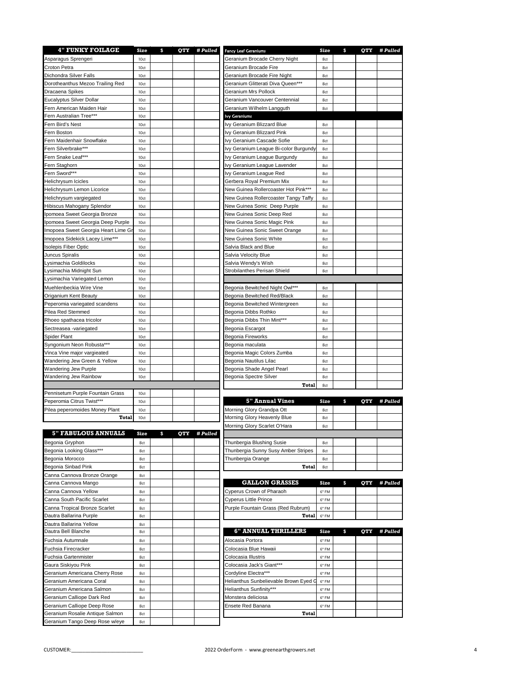| <b>4" FUNKY FOILAGE</b>             | Size         | \$ | <b>OTY</b> | # Pulled | <b>Fancy Leaf Geraniums</b>           | Size  | \$<br><b>OTY</b> | # Pulled |
|-------------------------------------|--------------|----|------------|----------|---------------------------------------|-------|------------------|----------|
| Asparagus Sprengeri                 | 10ct         |    |            |          | Geranium Brocade Cherry Night         | 8ct   |                  |          |
| Croton Petra                        | 10ct         |    |            |          | Geranium Brocade Fire                 | 8ct   |                  |          |
| Dichondra Silver Falls              | 10ct         |    |            |          | Geranium Brocade Fire Night           | 8ct   |                  |          |
| Dorotheanthus Mezoo Trailing Red    | 10ct         |    |            |          | Geranium Glitterati Diva Queen***     | 8ct   |                  |          |
| Dracaena Spikes                     | 10ct         |    |            |          | Geranium Mrs Pollock                  | 8ct   |                  |          |
| Eucalyptus Silver Dollar            | 10ct         |    |            |          | Geranium Vancouver Centennial         | 8ct   |                  |          |
| Fern American Maiden Hair           | 10ct         |    |            |          | Geranium Wilhelm Langguth             | 8ct   |                  |          |
| Fern Australian Tree***             | 10ct         |    |            |          | <b>Ivy Geraniums</b>                  |       |                  |          |
| Fern Bird's Nest                    | 10ct         |    |            |          | Ivy Geranium Blizzard Blue            | 8ct   |                  |          |
| Fern Boston                         | 10ct         |    |            |          | Ivy Geranium Blizzard Pink            | 8ct   |                  |          |
| Fern Maidenhair Snowflake           | 10ct         |    |            |          | Ivy Geranium Cascade Sofie            | 8ct   |                  |          |
|                                     |              |    |            |          |                                       |       |                  |          |
| Fern Silverbrake***                 | 10ct         |    |            |          | Ivy Geranium League Bi-color Burgundy | 8ct   |                  |          |
| Fern Snake Leaf***                  | 10ct         |    |            |          | Ivy Geranium League Burgundy          | 8ct   |                  |          |
| Fern Staghorn                       | 10ct         |    |            |          | Ivy Geranium League Lavender          | 8ct   |                  |          |
| Fern Sword***                       | 10ct         |    |            |          | Ivy Geranium League Red               | 8ct   |                  |          |
| Helichrysum Icicles                 | 10ct         |    |            |          | Gerbera Royal Premium Mix             | 8ct   |                  |          |
| Helichrysum Lemon Licorice          | 10ct         |    |            |          | New Guinea Rollercoaster Hot Pink***  | 8ct   |                  |          |
| Helichrysum vargiegated             | 10ct         |    |            |          | New Guinea Rollercoaster Tangy Taffy  | 8ct   |                  |          |
| Hibiscus Mahogany Splendor          | 10ct         |    |            |          | New Guinea Sonic Deep Purple          | 8ct   |                  |          |
| Ipomoea Sweet Georgia Bronze        | 10ct         |    |            |          | New Guinea Sonic Deep Red             | 8ct   |                  |          |
| Ipomoea Sweet Georgia Deep Purple   | 10ct         |    |            |          | New Guinea Sonic Magic Pink           | 8ct   |                  |          |
| Imopoea Sweet Georgia Heart Lime Gr | 10ct         |    |            |          | New Guinea Sonic Sweet Orange         | 8ct   |                  |          |
| Imopoea Sidekick Lacey Lime***      | 10ct         |    |            |          | New Guinea Sonic White                | 8ct   |                  |          |
| <b>Isolepis Fiber Optic</b>         | 10ct         |    |            |          | Salvia Black and Blue                 | 8ct   |                  |          |
|                                     |              |    |            |          |                                       |       |                  |          |
| Juncus Spiralis                     | 10ct         |    |            |          | Salvia Velocity Blue                  | 8ct   |                  |          |
| Lysimachia Goldilocks               | 10ct         |    |            |          | Salvia Wendy's Wish                   | 8ct   |                  |          |
| Lysimachia Midnight Sun             | 10ct         |    |            |          | Strobilanthes Perisan Shield          | 8ct   |                  |          |
| Lysimachia Variegated Lemon         | 10ct         |    |            |          |                                       |       |                  |          |
| Muehlenbeckia Wire Vine             | 10ct         |    |            |          | Begonia Bewitched Night Owl***        | 8ct   |                  |          |
| Origanium Kent Beauty               | 10ct         |    |            |          | Begonia Bewitched Red/Black           | 8ct   |                  |          |
| Peperomia variegated scandens       | 10ct         |    |            |          | Begonia Bewitched Wintergreen         | 8ct   |                  |          |
| Pilea Red Stemmed                   | 10ct         |    |            |          | Begonia Dibbs Rothko                  | 8ct   |                  |          |
| Rhoeo spathacea tricolor            | 10ct         |    |            |          | Begonia Dibbs Thin Mint***            | 8ct   |                  |          |
| Sectreasea -variegated              | 10ct         |    |            |          | Begonia Escargot                      | 8ct   |                  |          |
| Spider Plant                        | 10ct         |    |            |          | Begonia Fireworks                     | 8ct   |                  |          |
| Syngonium Neon Robusta***           | 10ct         |    |            |          | Begonia maculata                      | 8ct   |                  |          |
| Vinca Vine major vargieated         | 10ct         |    |            |          | Begonia Magic Colors Zumba            | 8ct   |                  |          |
| Wandering Jew Green & Yellow        | 10ct         |    |            |          | Begonia Nautilus Lilac                | 8ct   |                  |          |
| Wandering Jew Purple                |              |    |            |          | Begonia Shade Angel Pearl             | 8ct   |                  |          |
| Wandering Jew Rainbow               | 10ct<br>10ct |    |            |          | Begonia Spectre Silver                | 8ct   |                  |          |
|                                     |              |    |            |          |                                       |       |                  |          |
|                                     |              |    |            |          | Total                                 | 8ct   |                  |          |
| Pennisetum Purple Fountain Grass    | 10ct         |    |            |          |                                       |       |                  |          |
| Peperomia Citrus Twist***           | 10ct         |    |            |          | <b>5" Annual Vines</b>                | Size  | \$<br><b>OTY</b> | # Pulled |
| Pilea peperomoides Money Plant      | 10ct         |    |            |          | Morning Glory Grandpa Ott             | 8ct   |                  |          |
| Total                               | 10ct         |    |            |          | Morning Glory Heavenly Blue           | 8ct   |                  |          |
|                                     |              |    |            |          | Morning Glory Scarlet O'Hara          | 8ct   |                  |          |
| <b>5" FABULOUS ANNUALS</b>          | Size         | S  | QTY        | # Pulled |                                       |       |                  |          |
| Begonia Gryphon                     | 8ct          |    |            |          | Thunbergia Blushing Susie             | 8ct   |                  |          |
| Begonia Looking Glass***            | 8ct          |    |            |          | Thunbergia Sunny Susy Amber Stripes   | 8ct   |                  |          |
| Begonia Morocco                     | 8ct          |    |            |          | Thunbergia Orange                     | 8ct   |                  |          |
| Begonia Sinbad Pink                 | 8ct          |    |            |          | Total                                 | 8ct   |                  |          |
| Canna Cannova Bronze Orange         | 8ct          |    |            |          |                                       |       |                  |          |
| Canna Cannova Mango                 | 8ct          |    |            |          | <b>GALLON GRASSES</b>                 | Size  | \$<br>QTY        | # Pulled |
| Canna Cannova Yellow                | 8ct          |    |            |          | Cyperus Crown of Pharaoh              | 6" FM |                  |          |
| Canna South Pacific Scarlet         |              |    |            |          | Cyperus Little Prince                 | 6" FM |                  |          |
|                                     | 8ct          |    |            |          |                                       |       |                  |          |
| Canna Tropical Bronze Scarlet       | 8ct          |    |            |          | Purple Fountain Grass (Red Rubrum)    | 6" FM |                  |          |
| Dautra Ballarina Purple             | 8ct          |    |            |          | Total                                 | 6" FM |                  |          |
| Dautra Ballarina Yellow             | 8ct          |    |            |          |                                       |       |                  |          |
| Dautra Bell Blanche                 | 8ct          |    |            |          | <b>6" ANNUAL THRILLERS</b>            | Size  | \$<br><b>OTY</b> | # Pulled |
| Fuchsia Autumnale                   | 8ct          |    |            |          | Alocasia Portora                      | 6" FM |                  |          |
| Fuchsia Firecracker                 | 8ct          |    |            |          | Colocasia Blue Hawaii                 | 6" FM |                  |          |
| Fuchsia Gartenmister                | 8ct          |    |            |          | Colocasia Illustris                   | 6" FM |                  |          |
| Gaura Siskiyou Pink                 | 8ct          |    |            |          | Colocasia Jack's Giant***             | 6" FM |                  |          |
| Geranium Americana Cherry Rose      | 8ct          |    |            |          | Cordyline Electra***                  | 6" FM |                  |          |
| Geranium Americana Coral            | 8ct          |    |            |          | Helianthus Sunbelievable Brown Eyed G | 6" FM |                  |          |
| Geranium Americana Salmon           | 8ct          |    |            |          | Helianthus Sunfinity***               | 6" FM |                  |          |
| Geranium Calliope Dark Red          | 8ct          |    |            |          | Monstera deliciosa                    | 6" FM |                  |          |
| Geranium Calliope Deep Rose         | 8ct          |    |            |          | Ensete Red Banana                     | 6" FM |                  |          |
| Geranium Rosalie Antique Salmon     | 8ct          |    |            |          | Total                                 |       |                  |          |
| Geranium Tango Deep Rose w/eye      |              |    |            |          |                                       |       |                  |          |
|                                     | 8ct          |    |            |          |                                       |       |                  |          |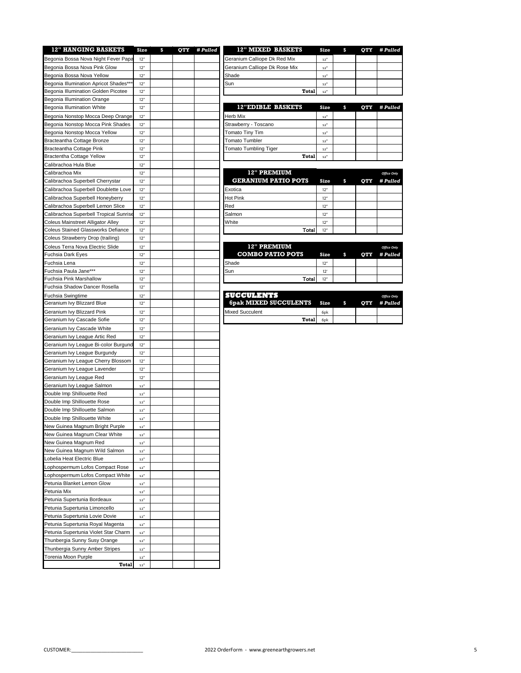| <b>12" HANGING BASKETS</b>                | Size                        | \$<br>QTY | # Pulled | <b>12" MIXED BASKETS</b>      | Siz                        |
|-------------------------------------------|-----------------------------|-----------|----------|-------------------------------|----------------------------|
| Begonia Bossa Nova Night Fever Papa       | 12"                         |           |          | Geranium Calliope Dk Red Mix  | $\mathbf{12}^{\mathrm{H}}$ |
| Begonia Bossa Nova Pink Glow              | 12"                         |           |          | Geranium Calliope Dk Rose Mix | $\mathbf{12}^{\mathrm{H}}$ |
| Begonia Bossa Nova Yellow                 | 12"                         |           |          | Shade                         | $\bf{12}^{\prime\prime}$   |
| Begonia Illumination Apricot Shades**     | 12"                         |           |          | Sun                           | $\bf{12}^{\prime\prime}$   |
| Begonia Illumination Golden Picotee       | 12"                         |           |          | Total                         | $\bf{12}^{\rm H}$          |
| Begonia Illumination Orange               | 12"                         |           |          |                               |                            |
| <b>Begonia Illumination White</b>         | 12"                         |           |          | <b>12"EDIBLE BASKETS</b>      | Siz                        |
|                                           |                             |           |          |                               |                            |
| Begonia Nonstop Mocca Deep Orange         | 12"                         |           |          | Herb Mix                      | $\bf 12''$                 |
| Begonia Nonstop Mocca Pink Shades         | 12"                         |           |          | Strawberry - Toscano          | $\bf{12}^{\prime\prime}$   |
| Begonia Nonstop Mocca Yellow              | 12"                         |           |          | Tomato Tiny Tim               | $\mathbf{12}^{\mathrm{H}}$ |
| Bracteantha Cottage Bronze                | 12"                         |           |          | <b>Tomato Tumbler</b>         | $\mathbf{12}^{\mathrm{H}}$ |
| Bracteantha Cottage Pink                  | 12"                         |           |          | Tomato Tumbling Tiger         | $\mathbf{12}^{\mathrm{H}}$ |
| <b>Bractentha Cottage Yellow</b>          | 12"                         |           |          | <b>Total</b>                  | $\mathbf{12}^{\mathrm{H}}$ |
| Calibrachoa Hula Blue                     | 12"                         |           |          |                               |                            |
| Calibrachoa Mix                           | 12"                         |           |          | <b>12" PREMIUM</b>            |                            |
| Calibrachoa Superbell Cherrystar          | 12"                         |           |          | <b>GERANIUM PATIO POTS</b>    | Siz                        |
| Calibrachoa Superbell Doublette Love      | 12"                         |           |          | Exotica                       | 12"                        |
| Calibrachoa Superbell Honeyberry          | 12"                         |           |          | Hot Pink                      | 12"                        |
| Calibrachoa Superbell Lemon Slice         | 12"                         |           |          | Red                           | 12"                        |
| Calibrachoa Superbell Tropical Sunrise    | 12"                         |           |          | Salmon                        | 12"                        |
| Coleus Mainstreet Alligator Alley         | 12"                         |           |          | White                         | 12"                        |
| <b>Coleus Stained Glassworks Defiance</b> | 12"                         |           |          | Total                         | 12"                        |
|                                           |                             |           |          |                               |                            |
| Coleus Strawberry Drop (trailing)         | 12"                         |           |          |                               |                            |
| Coleus Terra Nova Electric Slide          | 12"                         |           |          | <b>12" PREMIUM</b>            |                            |
| Fuchsia Dark Eyes                         | 12"                         |           |          | <b>COMBO PATIO POTS</b>       | Siz                        |
| Fuchsia Lena                              | 12"                         |           |          | Shade                         | 12"                        |
| Fuchsia Paula Jane***                     | 12"                         |           |          | Sun                           | 12'                        |
| Fuchsia Pink Marshallow                   | 12"                         |           |          | Total                         | 12"                        |
| Fuchsia Shadow Dancer Rosella             | 12"                         |           |          |                               |                            |
| Fuchsia Swingtime                         | 12"                         |           |          | <b>SUCCULENTS</b>             |                            |
| Geranium Ivy Blizzard Blue                | 12"                         |           |          | <b>6pak MIXED SUCCULENTS</b>  | Siz                        |
| Geranium Ivy Blizzard Pink                | 12"                         |           |          | <b>Mixed Succulent</b>        | 6 <sub>pk</sub>            |
| Geranium Ivy Cascade Sofie                | 12"                         |           |          | <b>Total</b>                  | 6 <sub>pk</sub>            |
| Geranium Ivy Cascade White                | 12"                         |           |          |                               |                            |
| Geranium Ivy League Artic Red             | 12"                         |           |          |                               |                            |
| Geranium Ivy League Bi-color Burgund      | 12"                         |           |          |                               |                            |
| Geranium Ivy League Burgundy              | 12"                         |           |          |                               |                            |
| Geranium Ivy League Cherry Blossom        | 12"                         |           |          |                               |                            |
| Geranium Ivy League Lavender              | 12"                         |           |          |                               |                            |
|                                           |                             |           |          |                               |                            |
| Geranium Ivy League Red                   | 12"                         |           |          |                               |                            |
| Geranium Ivy League Salmon                | $\bf{12}^{\prime\prime}$    |           |          |                               |                            |
| Double Imp Shillouette Red                | 12"                         |           |          |                               |                            |
| Double Imp Shillouette Rose               | $12"$                       |           |          |                               |                            |
| Double Imp Shillouette Salmon             | $12"$                       |           |          |                               |                            |
| Double Imp Shillouette White              | $12$ $^{\rm o}$             |           |          |                               |                            |
| New Guinea Magnum Bright Purple           | $12"$                       |           |          |                               |                            |
| New Guinea Magnum Clear White             | $12"$                       |           |          |                               |                            |
| New Guinea Magnum Red                     | $12"$                       |           |          |                               |                            |
| New Guinea Magnum Wild Salmon             | $12$ $^{\rm o}$             |           |          |                               |                            |
| Lobelia Heat Electric Blue                | $12$ $^{\rm o}$             |           |          |                               |                            |
| Lophospermum Lofos Compact Rose           | $\mathbf{12}^{\mathrm{H}}$  |           |          |                               |                            |
| Lophospermum Lofos Compact White          | $12"$                       |           |          |                               |                            |
| Petunia Blanket Lemon Glow                | $12"$                       |           |          |                               |                            |
| Petunia Mix                               | $\mathbf{12}^{\mathrm{II}}$ |           |          |                               |                            |
|                                           |                             |           |          |                               |                            |
| Petunia Supertunia Bordeaux               | $12$ $^{\rm o}$             |           |          |                               |                            |
| Petunia Supertunia Limoncello             | $\mathbf{12}^{\mathrm{H}}$  |           |          |                               |                            |
| Petunia Supertunia Lovie Dovie            | $12$ $^{\rm o}$             |           |          |                               |                            |
| Petunia Supertunia Royal Magenta          | $12"$                       |           |          |                               |                            |
| Petunia Supertunia Violet Star Charm      | $12$ $^{\rm o}$             |           |          |                               |                            |
| Thunbergia Sunny Susy Orange              | $12$ $^{\rm o}$             |           |          |                               |                            |
| Thunbergia Sunny Amber Stripes            | $\mathbf{12}^{\mathrm{H}}$  |           |          |                               |                            |
| Torenia Moon Purple                       | $12$ $^{\rm o}$             |           |          |                               |                            |
| Total                                     | $12"$                       |           |          |                               |                            |

| <b>12" HANGING BASKETS</b>           | Size |  | OTY # Pulled | 12" MIXED BASKETS             | Size            | OTY | <i># Pulled</i> |
|--------------------------------------|------|--|--------------|-------------------------------|-----------------|-----|-----------------|
| gonia Bossa Nova Night Fever Papa    | 12"  |  |              | Geranium Calliope Dk Red Mix  | 12"             |     |                 |
| aonia Bossa Nova Pink Glow           | 12"  |  |              | Geranium Calliope Dk Rose Mix | 12"             |     |                 |
| aonia Bossa Nova Yellow              | 12"  |  |              | Shade                         | 12"             |     |                 |
| gonia Illumination Apricot Shades*** | 12"  |  |              | Sun                           | 12"             |     |                 |
| conia Illumination Golden Picotee    | 12"  |  |              | Total                         | 12 <sup>1</sup> |     |                 |
| conia Illumination Orange            | 12"  |  |              |                               |                 |     |                 |

| Begonia Illumination White        | 12" |  | <b>12"EDIBLE BASKETS</b>     | Size | OTY | # Pulled |
|-----------------------------------|-----|--|------------------------------|------|-----|----------|
| Begonia Nonstop Mocca Deep Orange | 12" |  | <b>Herb Mix</b>              | 12"  |     |          |
| Begonia Nonstop Mocca Pink Shades | 12" |  | Strawberry - Toscano         | 12'  |     |          |
| Begonia Nonstop Mocca Yellow      | 12" |  | Tomato Tiny Tim              | 12"  |     |          |
| Bracteantha Cottage Bronze        | 12" |  | Tomato Tumbler               | 12'  |     |          |
| Bracteantha Cottage Pink          | 12" |  | <b>Tomato Tumbling Tiger</b> | 12'  |     |          |
| Bractentha Cottage Yellow         | 12" |  | Total                        |      |     |          |

| Calibrachoa Mix                          | 12" |  | 12" PREMIUM                |      |   |            | <b>Office Only</b> |
|------------------------------------------|-----|--|----------------------------|------|---|------------|--------------------|
| Calibrachoa Superbell Cherrystar         | 12" |  | <b>GERANIUM PATIO POTS</b> | Size | S | <b>OTY</b> | # Pulled           |
| Calibrachoa Superbell Doublette Love I   | 12" |  | Exotica                    | 12"  |   |            |                    |
| Calibrachoa Superbell Honeyberry         | 12" |  | <b>Hot Pink</b>            | 12"  |   |            |                    |
| Calibrachoa Superbell Lemon Slice        | 12" |  | Red                        | 12"  |   |            |                    |
| Calibrachoa Superbell Tropical Sunrise   | 12' |  | Salmon                     | 12"  |   |            |                    |
| <b>Coleus Mainstreet Alligator Alley</b> | 12' |  | White                      | 12"  |   |            |                    |
| Coleus Stained Glassworks Defiance       | 12" |  | Total                      | 12"  |   |            |                    |

| Coleus Terra Nova Electric Slide | 12" |  | <b>12" PREMIUM</b>      |      |            | <b>Office Only</b> |
|----------------------------------|-----|--|-------------------------|------|------------|--------------------|
| Fuchsia Dark Eves                | 12" |  | <b>COMBO PATIO POTS</b> | Size | <b>OTY</b> | <i># Pulled</i>    |
| Fuchsia Lena                     | 12" |  | Shade                   | 12"  |            |                    |
| Fuchsia Paula Jane***            | 12" |  | Sun                     | 12'  |            |                    |
| Fuchsia Pink Marshallow          | 12" |  | Total I                 | 12"  |            |                    |

| Fuchsia Swingtime          | 12' |  | мининасым                    |                  |  | <b>Office Only</b> |
|----------------------------|-----|--|------------------------------|------------------|--|--------------------|
| Geranium Ivv Blizzard Blue | 12" |  | <b>6pak MIXED SUCCULENTS</b> | Size             |  | OTY #Pulled        |
| Geranium Ivv Blizzard Pink | 12" |  | Mixed Succulent              | 6 <sub>D</sub> k |  |                    |
| Geranium Ivv Cascade Sofie | 12' |  | Total                        | 6 <sub>D</sub> k |  |                    |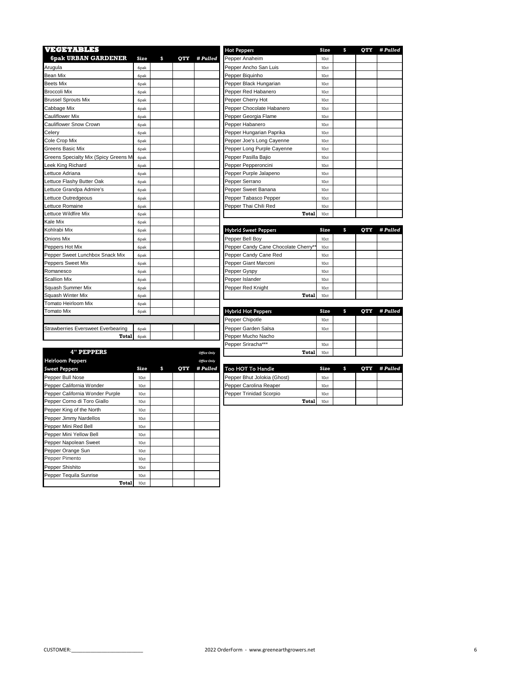| VEGETABLES                            |                  |   |            |          | <b>Hot Peppers</b>                  | Size | \$ | OTY | # Pulled |
|---------------------------------------|------------------|---|------------|----------|-------------------------------------|------|----|-----|----------|
| <b>6pak URBAN GARDENER</b>            | Size             | s | <b>OTY</b> | # Pulled | Pepper Anaheim                      | 10ct |    |     |          |
| Arugula                               | 6 <sub>Dak</sub> |   |            |          | Pepper Ancho San Luis               | 10ct |    |     |          |
| <b>Bean Mix</b>                       | 6pak             |   |            |          | Pepper Biquinho                     | 10ct |    |     |          |
| <b>Beets Mix</b>                      | 6pak             |   |            |          | Pepper Black Hungarian              | 10ct |    |     |          |
| <b>Broccoli Mix</b>                   | 6pak             |   |            |          | Pepper Red Habanero                 | 10ct |    |     |          |
| <b>Brussel Sprouts Mix</b>            | 6pak             |   |            |          | Pepper Cherry Hot                   | 10ct |    |     |          |
| Cabbage Mix                           | 6pak             |   |            |          | Pepper Chocolate Habanero           | 10ct |    |     |          |
| <b>Cauliflower Mix</b>                | 6pak             |   |            |          | Pepper Georgia Flame                | 10ct |    |     |          |
| Cauliflower Snow Crown                | 6pak             |   |            |          | Pepper Habanero                     | 10ct |    |     |          |
| Celery                                | 6pak             |   |            |          | Pepper Hungarian Paprika            | 10ct |    |     |          |
| Cole Crop Mix                         | 6pak             |   |            |          | Pepper Joe's Long Cayenne           | 10ct |    |     |          |
| Greens Basic Mix                      | 6pak             |   |            |          | Pepper Long Purple Cayenne          | 10ct |    |     |          |
| Greens Specialty Mix (Spicy Greens Mi | 6pak             |   |            |          | Pepper Pasilla Bajio                | 10ct |    |     |          |
| Leek King Richard                     | 6pak             |   |            |          | Pepper Pepperoncini                 | 10ct |    |     |          |
| Lettuce Adriana                       | 6pak             |   |            |          | Pepper Purple Jalapeno              | 10ct |    |     |          |
| Lettuce Flashy Butter Oak             | 6pak             |   |            |          | Pepper Serrano                      | 10ct |    |     |          |
| Lettuce Grandpa Admire's              | 6pak             |   |            |          | Pepper Sweet Banana                 | 10ct |    |     |          |
| Lettuce Outredgeous                   | 6pak             |   |            |          | Pepper Tabasco Pepper               | 10ct |    |     |          |
| Lettuce Romaine                       | 6pak             |   |            |          | Pepper Thai Chili Red               | 10ct |    |     |          |
| Lettuce Wildfire Mix                  | 6pak             |   |            |          | Total                               | 10ct |    |     |          |
| Kale Mix                              | 6pak             |   |            |          |                                     |      |    |     |          |
| Kohlrabi Mix                          | 6pak             |   |            |          | <b>Hybrid Sweet Peppers</b>         | Size | S  | OTY | # Pulled |
| <b>Onions Mix</b>                     | 6pak             |   |            |          | Pepper Bell Boy                     | 10ct |    |     |          |
| Peppers Hot Mix                       | 6pak             |   |            |          | Pepper Candy Cane Chocolate Cherry* | 10ct |    |     |          |
| Pepper Sweet Lunchbox Snack Mix       | 6pak             |   |            |          | Pepper Candy Cane Red               | 10ct |    |     |          |
| Peppers Sweet Mix                     | 6pak             |   |            |          | Pepper Giant Marconi                | 10ct |    |     |          |
| Romanesco                             | 6pak             |   |            |          | Pepper Gyspy                        | 10ct |    |     |          |
| <b>Scallion Mix</b>                   | 6pak             |   |            |          | Pepper Islander                     | 10ct |    |     |          |
| Squash Summer Mix                     | 6pak             |   |            |          | Pepper Red Knight                   | 10ct |    |     |          |
| Squash Winter Mix                     | 6pak             |   |            |          | <b>Total</b>                        | 10ct |    |     |          |
| Tomato Heirloom Mix                   | 6pak             |   |            |          |                                     |      |    |     |          |
| <b>Tomato Mix</b>                     | 6pak             |   |            |          | <b>Hybrid Hot Peppers</b>           | Size | \$ | OTY | # Pulled |
|                                       |                  |   |            |          | Pepper Chipotle                     | 10ct |    |     |          |
| Strawberries Eversweet Everbearing    | 6pak             |   |            |          | Pepper Garden Salsa                 | 10ct |    |     |          |
| Total                                 | 6pak             |   |            |          | Pepper Mucho Nacho                  |      |    |     |          |
|                                       |                  |   |            |          |                                     |      |    |     |          |

|                                 |      |   |     |                    | . .                         |              |      |           |          |
|---------------------------------|------|---|-----|--------------------|-----------------------------|--------------|------|-----------|----------|
| <b>4" PEPPERS</b>               |      |   |     | <b>Office Only</b> |                             | Total        | 10ct |           |          |
| <b>Heirloom Peppers</b>         |      |   |     | <b>Office Only</b> |                             |              |      |           |          |
| <b>Sweet Peppers</b>            | Size | s | OTY | # Pulled           | Too HOT To Handle           |              | Size | \$<br>OTY | # Pulled |
| Pepper Bull Nose                | 10ct |   |     |                    | Pepper Bhut Jolokia (Ghost) |              | 10ct |           |          |
| Pepper California Wonder        | 10ct |   |     |                    | Pepper Carolina Reaper      |              | 10ct |           |          |
| Pepper California Wonder Purple | 10ct |   |     |                    | Pepper Trinidad Scorpio     |              | 10ct |           |          |
| Pepper Corno di Toro Giallo     | 10ct |   |     |                    |                             | <b>Total</b> | 10ct |           |          |
| Pepper King of the North        | 10ct |   |     |                    |                             |              |      |           |          |
| Pepper Jimmy Nardellos          | 10ct |   |     |                    |                             |              |      |           |          |
| Pepper Mini Red Bell            | 10ct |   |     |                    |                             |              |      |           |          |
| Pepper Mini Yellow Bell         | 10ct |   |     |                    |                             |              |      |           |          |
| Pepper Napolean Sweet           | 10ct |   |     |                    |                             |              |      |           |          |
| Pepper Orange Sun               | 10ct |   |     |                    |                             |              |      |           |          |
| Pepper Pimento                  | 10ct |   |     |                    |                             |              |      |           |          |
| Pepper Shishito                 | 10ct |   |     |                    |                             |              |      |           |          |
| Pepper Tequila Sunrise          | 10ct |   |     |                    |                             |              |      |           |          |
| <b>Total</b>                    | 10ct |   |     |                    |                             |              |      |           |          |

| <b>Hot Peppers</b>         | Size | S | OTY | # Pulled |
|----------------------------|------|---|-----|----------|
| Pepper Anaheim             | 10ct |   |     |          |
| Pepper Ancho San Luis      | 10ct |   |     |          |
| Pepper Biquinho            | 10ct |   |     |          |
| Pepper Black Hungarian     | 10ct |   |     |          |
| Pepper Red Habanero        | 10ct |   |     |          |
| Pepper Cherry Hot          | 10ct |   |     |          |
| Pepper Chocolate Habanero  | 10ct |   |     |          |
| Pepper Georgia Flame       | 10ct |   |     |          |
| Pepper Habanero            | 10ct |   |     |          |
| Pepper Hungarian Paprika   | 10ct |   |     |          |
| Pepper Joe's Long Cayenne  | 10ct |   |     |          |
| Pepper Long Purple Cayenne | 10ct |   |     |          |
| Pepper Pasilla Bajio       | 10ct |   |     |          |
| Pepper Pepperoncini        | 10ct |   |     |          |
| Pepper Purple Jalapeno     | 10ct |   |     |          |
| Pepper Serrano             | 10ct |   |     |          |
| Pepper Sweet Banana        | 10ct |   |     |          |
| Pepper Tabasco Pepper      | 10ct |   |     |          |
| Pepper Thai Chili Red      | 10ct |   |     |          |
| <b>Total</b>               | 10ct |   |     |          |

| <b>Hybrid Sweet Peppers</b>          | Size | \$<br>OTY | # Pulled |
|--------------------------------------|------|-----------|----------|
| Pepper Bell Boy                      | 10ct |           |          |
| Pepper Candy Cane Chocolate Cherry** | 10ct |           |          |
| Pepper Candy Cane Red                | 10ct |           |          |
| Pepper Giant Marconi                 | 10ct |           |          |
| Pepper Gyspy                         | 10ct |           |          |
| Pepper Islander                      | 10ct |           |          |
| Pepper Red Knight                    | 10ct |           |          |
| Total                                | 10ct |           |          |

| <b>Hybrid Hot Peppers</b> | Size | S | OTY # Pulled |
|---------------------------|------|---|--------------|
| Pepper Chipotle           | 10ct |   |              |
| Pepper Garden Salsa       | 10ct |   |              |
| Pepper Mucho Nacho        |      |   |              |
| Pepper Sriracha***        | 10ct |   |              |
| Total                     | 10ct |   |              |

| oo HOT To Handle           | Size | -S | OTY #Pulled |
|----------------------------|------|----|-------------|
| epper Bhut Jolokia (Ghost) | 10ct |    |             |
| epper Carolina Reaper      | 10ct |    |             |
| epper Trinidad Scorpio     | 10ct |    |             |
| Total                      | 10ct |    |             |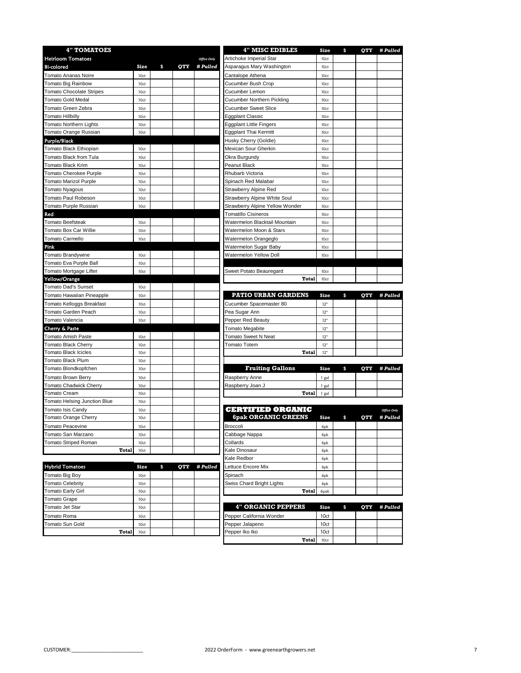| <b>4" TOMATOES</b>            |      |    |     | <b>4" MISC EDIBLES</b> | Size                            | \$<br>OTY | # Pulled         |                    |
|-------------------------------|------|----|-----|------------------------|---------------------------------|-----------|------------------|--------------------|
| <b>Heirloom Tomatoes</b>      |      |    |     | <b>Office Only</b>     | Artichoke Imperial Star         | 10ct      |                  |                    |
| <b>Bi-colored</b>             | Size | \$ | OTY | # Pulled               | Asparagus Mary Washington       | 10ct      |                  |                    |
| Tomato Ananas Noire           | 10ct |    |     |                        | Cantalope Athena                | 10ct      |                  |                    |
| Tomato Big Rainbow            | 10ct |    |     |                        | Cucumber Bush Crop              | 10ct      |                  |                    |
| Tomato Chocolate Stripes      | 10ct |    |     |                        | Cucumber Lemon                  | 10ct      |                  |                    |
| Tomato Gold Medal             | 10ct |    |     |                        | Cucumber Northern Pickling      | 10ct      |                  |                    |
| Tomato Green Zebra            | 10ct |    |     |                        | <b>Cucumber Sweet Slice</b>     | 10ct      |                  |                    |
| Tomato Hillbilly              | 10ct |    |     |                        | Eggplant Classic                | 10ct      |                  |                    |
| Tomato Northern Lights        | 10ct |    |     |                        | <b>Eggplant Little Fingers</b>  | 10ct      |                  |                    |
| Tomato Orange Russian         | 10ct |    |     |                        | Eggplant Thai Kermitt           | 10ct      |                  |                    |
| <b>Purple/Black</b>           |      |    |     |                        | Husky Cherry (Goldie)           | 10ct      |                  |                    |
| Tomato Black Ethiopian        | 10ct |    |     |                        | Mexican Sour Gherkin            | 10ct      |                  |                    |
| Tomato Black from Tula        | 10ct |    |     |                        | Okra Burgundy                   | 10ct      |                  |                    |
| Tomato Black Krim             | 10ct |    |     |                        | Peanut Black                    | 10ct      |                  |                    |
| Tomato Cherokee Purple        | 10ct |    |     |                        | Rhubarb Victoria                | 10ct      |                  |                    |
| Tomato Marizol Purple         | 10ct |    |     |                        | Spinach Red Malabar             | 10ct      |                  |                    |
| Tomato Nyagous                | 10ct |    |     |                        | Strawberry Alpine Red           | 10ct      |                  |                    |
| Tomato Paul Robeson           | 10ct |    |     |                        | Strawberry Alpine White Soul    | 10ct      |                  |                    |
| Tomato Purple Russian         | 10ct |    |     |                        | Strawberry Alpine Yellow Wonder | 10ct      |                  |                    |
| Red                           |      |    |     |                        | <b>Tomatillo Cisineros</b>      | 10ct      |                  |                    |
| Tomato Beefsteak              | 10ct |    |     |                        | Watermelon Blacktail Mountain   | 10ct      |                  |                    |
| Tomato Box Car Willie         | 10ct |    |     |                        | Watermelon Moon & Stars         | 10ct      |                  |                    |
| <b>Tomato Carmello</b>        | 10ct |    |     |                        | Watermelon Orangeglo            | 10ct      |                  |                    |
| Pink                          |      |    |     |                        | Watermelon Sugar Baby           | 10ct      |                  |                    |
| Tomato Brandywine             | 10ct |    |     |                        | <b>Watermelon Yellow Doll</b>   | 10ct      |                  |                    |
| Tomato Eva Purple Ball        | 10ct |    |     |                        |                                 |           |                  |                    |
| Tomato Mortgage Lifter        | 10ct |    |     |                        | Sweet Potato Beauregard         | 10ct      |                  |                    |
| Yellow/Orange                 |      |    |     |                        | <b>Total</b>                    | 10ct      |                  |                    |
| Tomato Dad's Sunset           | 10ct |    |     |                        |                                 |           |                  |                    |
| Tomato Hawaiian Pineapple     | 10ct |    |     |                        | <b>PATIO URBAN GARDENS</b>      | Size      | \$<br><b>OTY</b> | # Pulled           |
| Tomato Kelloggs Breakfast     | 10ct |    |     |                        | Cucumber Spacemaster 80         | 12"       |                  |                    |
| Tomato Garden Peach           | 10ct |    |     |                        | Pea Sugar Ann                   | 12"       |                  |                    |
| Tomato Valencia               | 10ct |    |     |                        | Pepper Red Beauty               | 12"       |                  |                    |
| Cherry & Paste                |      |    |     |                        | Tomato Megabite                 | 12"       |                  |                    |
| Tomato Amish Paste            | 10ct |    |     |                        | Tomato Sweet N Neat             | 12"       |                  |                    |
| Tomato Black Cherry           | 10ct |    |     |                        | Tomato Totem                    | 12"       |                  |                    |
| Tomato Black Icicles          | 10ct |    |     |                        | <b>Total</b>                    | 12"       |                  |                    |
| Tomato Black Plum             | 10ct |    |     |                        |                                 |           |                  |                    |
| Tomato Blondkopfchen          | 10ct |    |     |                        | <b>Fruiting Gallons</b>         | Size      | \$<br>QTY        | # Pulled           |
| Tomato Brown Berry            | 10ct |    |     |                        | Raspberry Anne                  | 1 gal     |                  |                    |
| <b>Tomato Chadwick Cherry</b> | 10ct |    |     |                        | Raspberry Joan J                | 1 gal     |                  |                    |
| <b>Tomato Cream</b>           | 10ct |    |     |                        | Total                           | 1 gal     |                  |                    |
| Tomato Helsing Junction Blue  | 10ct |    |     |                        |                                 |           |                  |                    |
| Tomato Isis Candy             | 10ct |    |     |                        | <b>CERTIFIED ORGANIC</b>        |           |                  | <b>Office Only</b> |
| Tomato Orange Cherry          | 10ct |    |     |                        | <b>6pak ORGANIC GREENS</b>      | Size      | \$<br>OTY        | # Pulled           |
| Tomato Peacevine              | 10ct |    |     |                        | Broccoli                        | 6pk       |                  |                    |
| Tomato San Marzano            | 10ct |    |     |                        | Cabbage Nappa                   | 6pk       |                  |                    |
| Tomato Striped Roman          | 10ct |    |     |                        | Collards                        | 6pk       |                  |                    |
| Total                         | 10ct |    |     |                        | Kale Dinosaur                   | 6pk       |                  |                    |
|                               |      |    |     |                        | Kale Redbor                     | 6pk       |                  |                    |
| <b>Hybrid Tomatoes</b>        | Size | \$ | QTY | # Pulled               | Lettuce Encore Mix              | 6pk       |                  |                    |
| Tomato Big Boy                | 10ct |    |     |                        | Spinach                         | 6pk       |                  |                    |
| <b>Tomato Celebrity</b>       | 10ct |    |     |                        | Swiss Chard Bright Lights       | 6pk       |                  |                    |
| Tomato Early Girl             | 10ct |    |     |                        | Total                           | 6pak      |                  |                    |
| Tomato Grape                  | 10ct |    |     |                        |                                 |           |                  |                    |
| Tomato Jet Star               | 10ct |    |     |                        | <b>4" ORGANIC PEPPERS</b>       | Size      | \$<br>QTY        | # Pulled           |
| Tomato Roma                   | 10ct |    |     |                        | Pepper California Wonder        | 10ct      |                  |                    |
| Tomato Sun Gold               | 10ct |    |     |                        | Pepper Jalapeno                 | 10ct      |                  |                    |
| <b>Total</b>                  | 10ct |    |     |                        | Pepper Iko Iko                  | 10ct      |                  |                    |

| <b>4" MISC EDIBLES</b>          | Size  | S  | QTY | # Pulled           |
|---------------------------------|-------|----|-----|--------------------|
| Artichoke Imperial Star         | 10ct  |    |     |                    |
| Asparagus Mary Washington       | 10ct  |    |     |                    |
| Cantalope Athena                | 10ct  |    |     |                    |
| Cucumber Bush Crop              | 10ct  |    |     |                    |
| Cucumber Lemon                  | 10ct  |    |     |                    |
| Cucumber Northern Pickling      | 10ct  |    |     |                    |
| <b>Cucumber Sweet Slice</b>     | 10ct  |    |     |                    |
| <b>Eggplant Classic</b>         | 10ct  |    |     |                    |
| <b>Eggplant Little Fingers</b>  | 10ct  |    |     |                    |
| Eggplant Thai Kermitt           | 10ct  |    |     |                    |
| Husky Cherry (Goldie)           | 10ct  |    |     |                    |
| Mexican Sour Gherkin            | 10ct  |    |     |                    |
| Okra Burgundy                   | 10ct  |    |     |                    |
| Peanut Black                    | 10ct  |    |     |                    |
| Rhubarb Victoria                | 10ct  |    |     |                    |
| Spinach Red Malabar             | 10ct  |    |     |                    |
| Strawberry Alpine Red           | 10ct  |    |     |                    |
| Strawberry Alpine White Soul    | 10ct  |    |     |                    |
| Strawberry Alpine Yellow Wonder | 10ct  |    |     |                    |
| <b>Tomatillo Cisineros</b>      | 10ct  |    |     |                    |
| Watermelon Blacktail Mountain   | 10ct  |    |     |                    |
| Watermelon Moon & Stars         | 10ct  |    |     |                    |
| Watermelon Orangeglo            | 10ct  |    |     |                    |
| Watermelon Sugar Baby           | 10ct  |    |     |                    |
| Watermelon Yellow Doll          | 10ct  |    |     |                    |
|                                 |       |    |     |                    |
| Sweet Potato Beauregard         | 10ct  |    |     |                    |
| Total                           | 10ct  |    |     |                    |
|                                 |       |    |     |                    |
| PATIO URBAN GARDENS             | Size  | \$ | QTY | # Pulled           |
| Cucumber Spacemaster 80         | 12"   |    |     |                    |
| Pea Sugar Ann                   | 12"   |    |     |                    |
| Pepper Red Beauty               | 12"   |    |     |                    |
| <b>Tomato Megabite</b>          | 12"   |    |     |                    |
| Tomato Sweet N Neat             | 12"   |    |     |                    |
| <b>Tomato Totem</b>             | 12"   |    |     |                    |
| <b>Total</b>                    | 12"   |    |     |                    |
|                                 |       |    |     |                    |
| <b>Fruiting Gallons</b>         | Size  | \$ | OTY | # Pulled           |
| Raspberry Anne                  | 1 gal |    |     |                    |
| Raspberry Joan J                | 1 gal |    |     |                    |
| <b>Total</b>                    | 1 gal |    |     |                    |
|                                 |       |    |     |                    |
| <b>CERTIFIED ORGANIC</b>        |       |    |     | <b>Office Only</b> |
| <b>6pak ORGANIC GREENS</b>      | Size  | \$ | QTY | # Pulled           |
| Broccoli                        | 6pk   |    |     |                    |
| Cabbage Nappa                   | 6pk   |    |     |                    |
| Collards                        | 6pk   |    |     |                    |
|                                 |       |    |     |                    |

|                           | . .             |  |  |
|---------------------------|-----------------|--|--|
| Cabbage Nappa             | 6 <sub>pk</sub> |  |  |
| Collards                  | 6pk             |  |  |
| Kale Dinosaur             | 6pk             |  |  |
| Kale Redbor               | 6pk             |  |  |
| Lettuce Encore Mix        | 6 <sub>pk</sub> |  |  |
| Spinach                   | 6pk             |  |  |
| Swiss Chard Bright Lights | 6pk             |  |  |
| Total                     | 6pak            |  |  |
|                           |                 |  |  |
| $\cdots$                  |                 |  |  |

| <b>4" ORGANIC PEPPERS</b> | Size |  | OTY # Pulled |
|---------------------------|------|--|--------------|
| Pepper California Wonder  | 10ct |  |              |
| Pepper Jalapeno           | 10ct |  |              |
| Pepper Iko Iko            | 10ct |  |              |
| Total                     | 10ct |  |              |